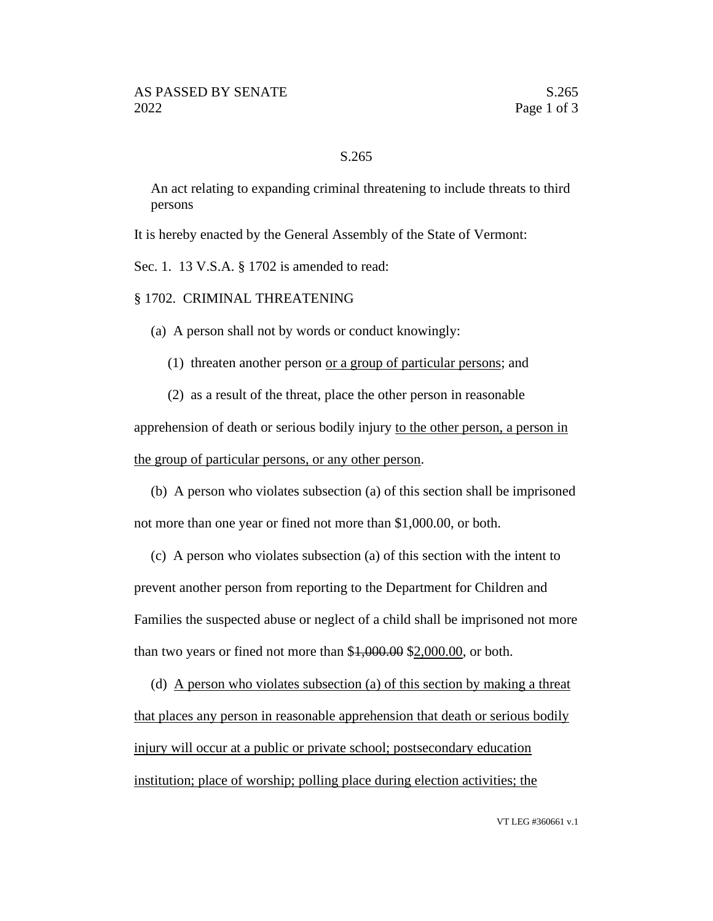## S.265

An act relating to expanding criminal threatening to include threats to third persons

It is hereby enacted by the General Assembly of the State of Vermont:

Sec. 1. 13 V.S.A. § 1702 is amended to read:

§ 1702. CRIMINAL THREATENING

(a) A person shall not by words or conduct knowingly:

(1) threaten another person or a group of particular persons; and

(2) as a result of the threat, place the other person in reasonable

apprehension of death or serious bodily injury to the other person, a person in the group of particular persons, or any other person.

(b) A person who violates subsection (a) of this section shall be imprisoned not more than one year or fined not more than \$1,000.00, or both.

(c) A person who violates subsection (a) of this section with the intent to prevent another person from reporting to the Department for Children and Families the suspected abuse or neglect of a child shall be imprisoned not more than two years or fined not more than \$1,000.00 \$2,000.00, or both.

(d) A person who violates subsection (a) of this section by making a threat that places any person in reasonable apprehension that death or serious bodily injury will occur at a public or private school; postsecondary education institution; place of worship; polling place during election activities; the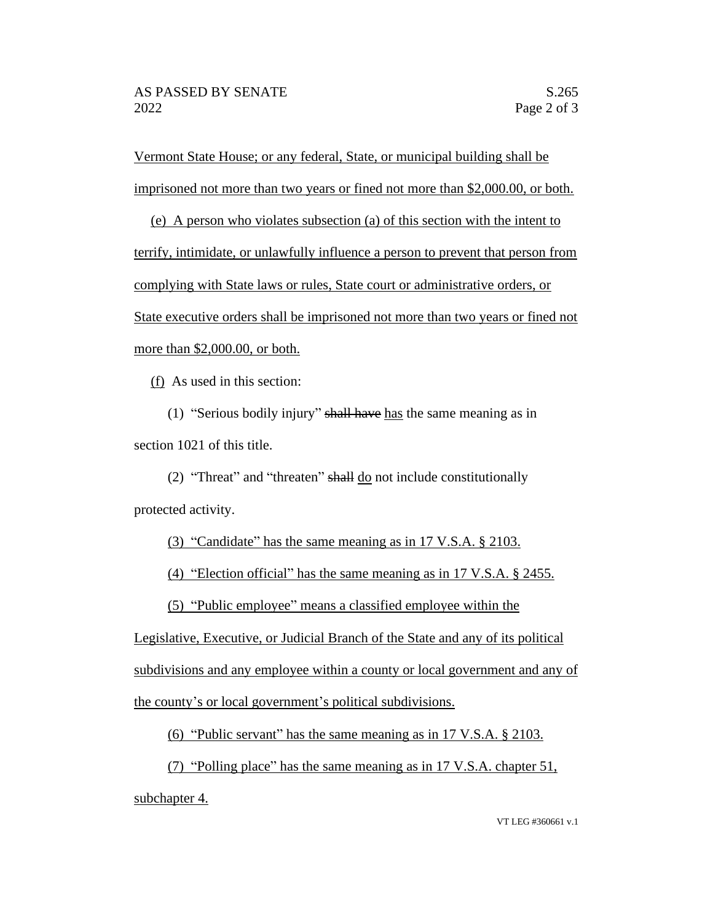Vermont State House; or any federal, State, or municipal building shall be imprisoned not more than two years or fined not more than \$2,000.00, or both.

(e) A person who violates subsection (a) of this section with the intent to terrify, intimidate, or unlawfully influence a person to prevent that person from complying with State laws or rules, State court or administrative orders, or State executive orders shall be imprisoned not more than two years or fined not more than \$2,000.00, or both.

(f) As used in this section:

(1) "Serious bodily injury" shall have has the same meaning as in section 1021 of this title.

(2) "Threat" and "threaten" shall  $\underline{do}$  not include constitutionally protected activity.

(3) "Candidate" has the same meaning as in 17 V.S.A. § 2103.

(4) "Election official" has the same meaning as in 17 V.S.A. § 2455.

(5) "Public employee" means a classified employee within the

Legislative, Executive, or Judicial Branch of the State and any of its political subdivisions and any employee within a county or local government and any of the county's or local government's political subdivisions.

(6) "Public servant" has the same meaning as in 17 V.S.A. § 2103.

(7) "Polling place" has the same meaning as in 17 V.S.A. chapter 51, subchapter 4.